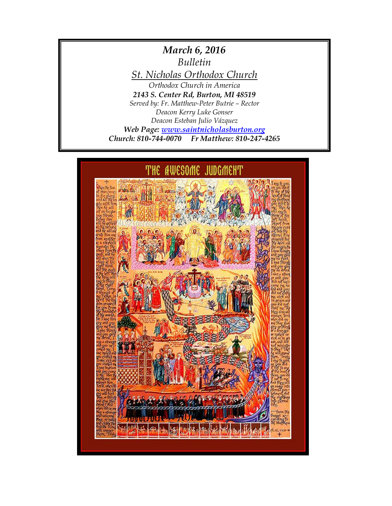# *March 6, 2016 Bulletin St. Nicholas Orthodox Church Orthodox Church in America 2143 S. Center Rd, Burton, MI 48519 Served by: Fr. Matthew-Peter Butrie – Rector Deacon Kerry Luke Gonser Deacon Esteban Julio Vázquez Web Page: [www.saintnicholasburton.org](http://www.saintnicholasburton.org/) Church: 810-744-0070 Fr Matthew: 810-247-4265*

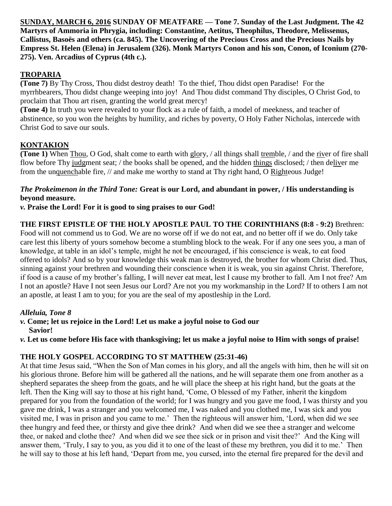**SUNDAY, MARCH 6, 2016 SUNDAY OF MEATFARE — Tone 7. Sunday of the Last Judgment. The 42 Martyrs of Ammoria in Phrygia, including: Constantine, Aetitus, Theophilus, Theodore, Melissenus, Callistus, Basoës and others (ca. 845). The Uncovering of the Precious Cross and the Precious Nails by Empress St. Helen (Elena) in Jerusalem (326). Monk Martyrs Conon and his son, Conon, of Iconium (270- 275). Ven. Arcadius of Cyprus (4th c.).**

#### **TROPARIA**

**(Tone 7)** By Thy Cross, Thou didst destroy death! To the thief, Thou didst open Paradise! For the myrrhbearers, Thou didst change weeping into joy! And Thou didst command Thy disciples, O Christ God, to proclaim that Thou art risen, granting the world great mercy!

**(Tone 4)** In truth you were revealed to your flock as a rule of faith, a model of meekness, and teacher of abstinence, so you won the heights by humility, and riches by poverty, O Holy Father Nicholas, intercede with Christ God to save our souls.

### **KONTAKION**

**(Tone 1)** When Thou, O God, shalt come to earth with glory, / all things shall tremble, / and the river of fire shall flow before Thy judgment seat; / the books shall be opened, and the hidden things disclosed; / then deliver me from the unquenchable fire, // and make me worthy to stand at Thy right hand, O Righteous Judge!

#### *The Prokeimenon in the Third Tone:* **Great is our Lord, and abundant in power, / His understanding is beyond measure.**

*v.* **Praise the Lord! For it is good to sing praises to our God!**

#### **THE FIRST EPISTLE OF THE HOLY APOSTLE PAUL TO THE CORINTHIANS (8:8 - 9:2)** Brethren:

Food will not commend us to God. We are no worse off if we do not eat, and no better off if we do. Only take care lest this liberty of yours somehow become a stumbling block to the weak. For if any one sees you, a man of knowledge, at table in an idol's temple, might he not be encouraged, if his conscience is weak, to eat food offered to idols? And so by your knowledge this weak man is destroyed, the brother for whom Christ died. Thus, sinning against your brethren and wounding their conscience when it is weak, you sin against Christ. Therefore, if food is a cause of my brother's falling, I will never eat meat, lest I cause my brother to fall. Am I not free? Am I not an apostle? Have I not seen Jesus our Lord? Are not you my workmanship in the Lord? If to others I am not an apostle, at least I am to you; for you are the seal of my apostleship in the Lord.

#### *Alleluia, Tone 8*

*v.* **Come; let us rejoice in the Lord! Let us make a joyful noise to God our Savior!**

*v.* **Let us come before His face with thanksgiving; let us make a joyful noise to Him with songs of praise!**

## **THE HOLY GOSPEL ACCORDING TO ST MATTHEW (25:31-46)**

At that time Jesus said, "When the Son of Man comes in his glory, and all the angels with him, then he will sit on his glorious throne. Before him will be gathered all the nations, and he will separate them one from another as a shepherd separates the sheep from the goats, and he will place the sheep at his right hand, but the goats at the left. Then the King will say to those at his right hand, 'Come, O blessed of my Father, inherit the kingdom prepared for you from the foundation of the world; for I was hungry and you gave me food, I was thirsty and you gave me drink, I was a stranger and you welcomed me, I was naked and you clothed me, I was sick and you visited me, I was in prison and you came to me.' Then the righteous will answer him, 'Lord, when did we see thee hungry and feed thee, or thirsty and give thee drink? And when did we see thee a stranger and welcome thee, or naked and clothe thee? And when did we see thee sick or in prison and visit thee?' And the King will answer them, 'Truly, I say to you, as you did it to one of the least of these my brethren, you did it to me.' Then he will say to those at his left hand, 'Depart from me, you cursed, into the eternal fire prepared for the devil and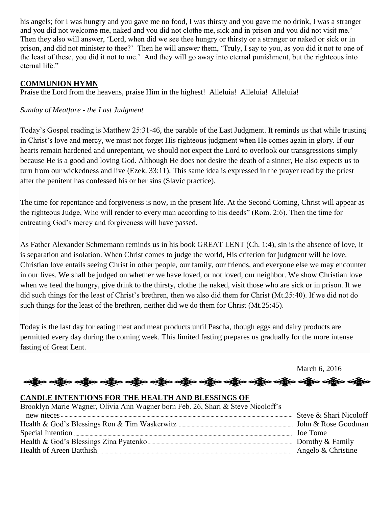his angels; for I was hungry and you gave me no food, I was thirsty and you gave me no drink, I was a stranger and you did not welcome me, naked and you did not clothe me, sick and in prison and you did not visit me.' Then they also will answer, 'Lord, when did we see thee hungry or thirsty or a stranger or naked or sick or in prison, and did not minister to thee?' Then he will answer them, 'Truly, I say to you, as you did it not to one of the least of these, you did it not to me.' And they will go away into eternal punishment, but the righteous into eternal life."

#### **COMMUNION HYMN**

Praise the Lord from the heavens, praise Him in the highest! Alleluia! Alleluia! Alleluia!

#### *Sunday of Meatfare - the Last Judgment*

Today's Gospel reading is Matthew 25:31-46, the parable of the Last Judgment. It reminds us that while trusting in Christ's love and mercy, we must not forget His righteous judgment when He comes again in glory. If our hearts remain hardened and unrepentant, we should not expect the Lord to overlook our transgressions simply because He is a good and loving God. Although He does not desire the death of a sinner, He also expects us to turn from our wickedness and live (Ezek. 33:11). This same idea is expressed in the prayer read by the priest after the penitent has confessed his or her sins (Slavic practice).

The time for repentance and forgiveness is now, in the present life. At the Second Coming, Christ will appear as the righteous Judge, Who will render to every man according to his deeds" (Rom. 2:6). Then the time for entreating God's mercy and forgiveness will have passed.

As Father Alexander Schmemann reminds us in his book GREAT LENT (Ch. 1:4), sin is the absence of love, it is separation and isolation. When Christ comes to judge the world, His criterion for judgment will be love. Christian love entails seeing Christ in other people, our family, our friends, and everyone else we may encounter in our lives. We shall be judged on whether we have loved, or not loved, our neighbor. We show Christian love when we feed the hungry, give drink to the thirsty, clothe the naked, visit those who are sick or in prison. If we did such things for the least of Christ's brethren, then we also did them for Christ (Mt.25:40). If we did not do such things for the least of the brethren, neither did we do them for Christ (Mt.25:45).

Today is the last day for eating meat and meat products until Pascha, though eggs and dairy products are permitted every day during the coming week. This limited fasting prepares us gradually for the more intense fasting of Great Lent.

March 6, 2016

န်မာ ဝန်စွိုး ဝန်စွာ ဝန်စွာ ဝန်စွာ ဝန်စွာ ဝန်စွာ ဝန်စွာ ဝန်စွာ ဝန်စွာ ဝန်စွာ ဝန်စွာ ဝန်စွာ ဝန်စွာ

#### **CANDLE INTENTIONS FOR THE HEALTH AND BLESSINGS OF**

| Brooklyn Marie Wagner, Olivia Ann Wagner born Feb. 26, Shari & Steve Nicoloff's |                        |
|---------------------------------------------------------------------------------|------------------------|
|                                                                                 | Steve & Shari Nicoloff |
|                                                                                 |                        |
|                                                                                 | Joe Tome               |
|                                                                                 |                        |
|                                                                                 |                        |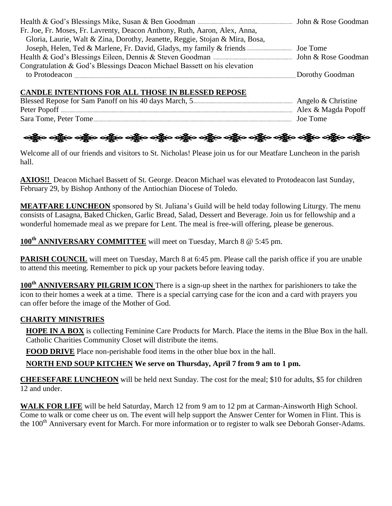| Fr. Joe, Fr. Moses, Fr. Lavrenty, Deacon Anthony, Ruth, Aaron, Alex, Anna,   |                 |
|------------------------------------------------------------------------------|-----------------|
| Gloria, Laurie, Walt & Zina, Dorothy, Jeanette, Reggie, Stojan & Mira, Bosa, |                 |
|                                                                              |                 |
|                                                                              |                 |
| Congratulation & God's Blessings Deacon Michael Bassett on his elevation     |                 |
| to Protodeacon                                                               | Dorothy Goodman |

#### **CANDLE INTENTIONS FOR ALL THOSE IN BLESSED REPOSE**

|                       | . Angelo $&$ Christine |
|-----------------------|------------------------|
|                       | Alex & Magda Popoff    |
| Sara Tome, Peter Tome | Joe Tome               |

# ခရွို့က ခရွိက သန္တို့က ခရွိက သန္တို့က ခရွိက ခရွိက ခရွိက ခရွိက သန္တို့က သန္တို့က ခရွိက ခရွိက ခရွိက

Welcome all of our friends and visitors to St. Nicholas! Please join us for our Meatfare Luncheon in the parish hall.

**AXIOS!!** Deacon Michael Bassett of St. George. Deacon Michael was elevated to Protodeacon last Sunday, February 29, by Bishop Anthony of the Antiochian Diocese of Toledo.

**MEATFARE LUNCHEON** sponsored by St. Juliana's Guild will be held today following Liturgy. The menu consists of Lasagna, Baked Chicken, Garlic Bread, Salad, Dessert and Beverage. Join us for fellowship and a wonderful homemade meal as we prepare for Lent. The meal is free-will offering, please be generous.

**100th ANNIVERSARY COMMITTEE** will meet on Tuesday, March 8 @ 5:45 pm.

**PARISH COUNCIL** will meet on Tuesday, March 8 at 6:45 pm. Please call the parish office if you are unable to attend this meeting. Remember to pick up your packets before leaving today.

**100th ANNIVERSARY PILGRIM ICON** There is a sign-up sheet in the narthex for parishioners to take the icon to their homes a week at a time. There is a special carrying case for the icon and a card with prayers you can offer before the image of the Mother of God.

# **CHARITY MINISTRIES**

**HOPE IN A BOX** is collecting Feminine Care Products for March. Place the items in the Blue Box in the hall. Catholic Charities Community Closet will distribute the items.

**FOOD DRIVE** Place non-perishable food items in the other blue box in the hall.

**NORTH END SOUP KITCHEN We serve on Thursday, April 7 from 9 am to 1 pm.**

**CHEESEFARE LUNCHEON** will be held next Sunday. The cost for the meal; \$10 for adults, \$5 for children 12 and under.

WALK FOR LIFE will be held Saturday, March 12 from 9 am to 12 pm at Carman-Ainsworth High School. Come to walk or come cheer us on. The event will help support the Answer Center for Women in Flint. This is the 100<sup>th</sup> Anniversary event for March. For more information or to register to walk see Deborah Gonser-Adams.